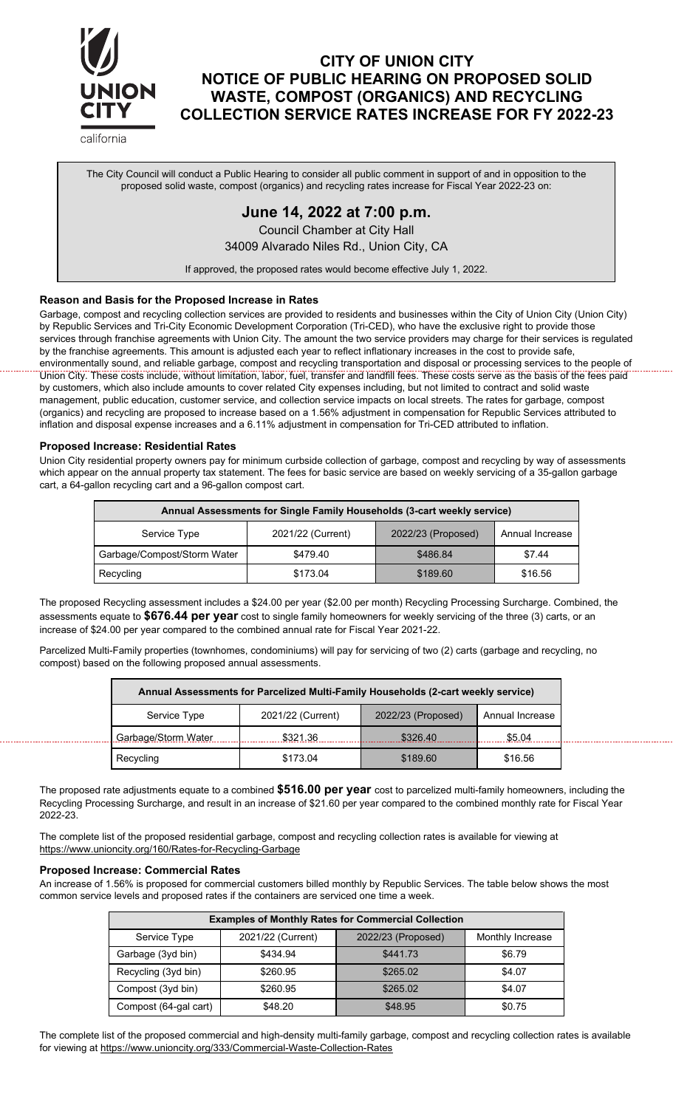

# **CITY OF UNION CITY NOTICE OF PUBLIC HEARING ON PROPOSED SOLID WASTE, COMPOST (ORGANICS) AND RECYCLING COLLECTION SERVICE RATES INCREASE FOR FY 2022-23**

california

The City Council will conduct a Public Hearing to consider all public comment in support of and in opposition to the proposed solid waste, compost (organics) and recycling rates increase for Fiscal Year 2022-23 on:

# **June 14, 2022 at 7:00 p.m.**

Council Chamber at City Hall 34009 Alvarado Niles Rd., Union City, CA

If approved, the proposed rates would become effective July 1, 2022.

## **Reason and Basis for the Proposed Increase in Rates**

Garbage, compost and recycling collection services are provided to residents and businesses within the City of Union City (Union City) by Republic Services and Tri-City Economic Development Corporation (Tri-CED), who have the exclusive right to provide those services through franchise agreements with Union City. The amount the two service providers may charge for their services is regulated by the franchise agreements. This amount is adjusted each year to reflect inflationary increases in the cost to provide safe, environmentally sound, and reliable garbage, compost and recycling transportation and disposal or processing services to the people of Union City. These costs include, without limitation, labor, fuel, transfer and landfill fees. These costs serve as the basis of the fees paid by customers, which also include amounts to cover related City expenses including, but not limited to contract and solid waste management, public education, customer service, and collection service impacts on local streets. The rates for garbage, compost (organics) and recycling are proposed to increase based on a 1.56% adjustment in compensation for Republic Services attributed to inflation and disposal expense increases and a 6.11% adjustment in compensation for Tri-CED attributed to inflation.

## **Proposed Increase: Residential Rates**

Union City residential property owners pay for minimum curbside collection of garbage, compost and recycling by way of assessments which appear on the annual property tax statement. The fees for basic service are based on weekly servicing of a 35-gallon garbage cart, a 64-gallon recycling cart and a 96-gallon compost cart.

| Annual Assessments for Single Family Households (3-cart weekly service) |                   |                    |                 |  |  |
|-------------------------------------------------------------------------|-------------------|--------------------|-----------------|--|--|
| Service Type                                                            | 2021/22 (Current) | 2022/23 (Proposed) | Annual Increase |  |  |
| Garbage/Compost/Storm Water                                             | \$479.40          | \$486.84           | \$7.44          |  |  |
| Recycling                                                               | \$173.04          | \$189.60           | \$16.56         |  |  |

The proposed Recycling assessment includes a \$24.00 per year (\$2.00 per month) Recycling Processing Surcharge. Combined, the assessments equate to **\$676.44 per year** cost to single family homeowners for weekly servicing of the three (3) carts, or an increase of \$24.00 per year compared to the combined annual rate for Fiscal Year 2021-22.

Parcelized Multi-Family properties (townhomes, condominiums) will pay for servicing of two (2) carts (garbage and recycling, no compost) based on the following proposed annual assessments.

| Annual Assessments for Parcelized Multi-Family Households (2-cart weekly service) |                   |                    |                 |  |
|-----------------------------------------------------------------------------------|-------------------|--------------------|-----------------|--|
| Service Type                                                                      | 2021/22 (Current) | 2022/23 (Proposed) | Annual Increase |  |
| Garbage/Storm Water                                                               | \$321.36          | \$326.40           | \$5.04          |  |
| Recycling                                                                         | \$173.04          | \$189.60           | \$16.56         |  |

The proposed rate adjustments equate to a combined **\$516.00 per year** cost to parcelized multi-family homeowners, including the Recycling Processing Surcharge, and result in an increase of \$21.60 per year compared to the combined monthly rate for Fiscal Year 2022-23.

The complete list of the proposed residential garbage, compost and recycling collection rates is available for viewing at https://www.unioncity.org/160/Rates-for-Recycling-Garbage

#### **Proposed Increase: Commercial Rates**

An increase of 1.56% is proposed for commercial customers billed monthly by Republic Services. The table below shows the most common service levels and proposed rates if the containers are serviced one time a week.

| <b>Examples of Monthly Rates for Commercial Collection</b> |                   |                    |                  |  |  |
|------------------------------------------------------------|-------------------|--------------------|------------------|--|--|
| Service Type                                               | 2021/22 (Current) | 2022/23 (Proposed) | Monthly Increase |  |  |
| Garbage (3yd bin)                                          | \$434.94          | \$441.73           | \$6.79           |  |  |
| Recycling (3yd bin)                                        | \$260.95          | \$265.02           | \$4.07           |  |  |
| Compost (3yd bin)                                          | \$260.95          | \$265.02           | \$4.07           |  |  |
| Compost (64-gal cart)                                      | \$48.20           | \$48.95            | \$0.75           |  |  |

The complete list of the proposed commercial and high-density multi-family garbage, compost and recycling collection rates is available for viewing at https://www.unioncity.org/333/Commercial-Waste-Collection-Rates